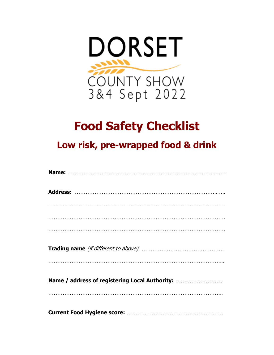

## **Food Safety Checklist**

**Low risk, pre-wrapped food & drink**

| Name / address of registering Local Authority: |  |  |
|------------------------------------------------|--|--|
|                                                |  |  |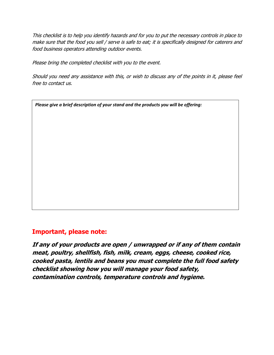This checklist is to help you identify hazards and for you to put the necessary controls in place to make sure that the food you sell / serve is safe to eat; it is specifically designed for caterers and food business operators attending outdoor events.

Please bring the completed checklist with you to the event.

Should you need any assistance with this, or wish to discuss any of the points in it, please feel free to contact us.

*Please give a brief description of your stand and the products you will be offering:* 

## **Important, please note:**

**If any of your products are open / unwrapped or if any of them contain meat, poultry, shellfish, fish, milk, cream, eggs, cheese, cooked rice, cooked pasta, lentils and beans you must complete the full food safety checklist showing how you will manage your food safety, contamination controls, temperature controls and hygiene.**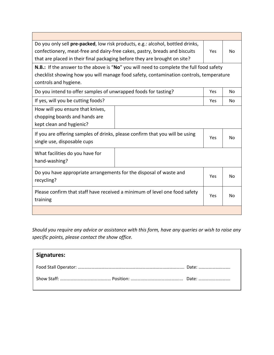| Do you only sell pre-packed, low risk products, e.g.: alcohol, bottled drinks,<br>confectionery, meat-free and dairy-free cakes, pastry, breads and biscuits<br>that are placed in their final packaging before they are brought on site? |  | Yes | No.            |  |  |
|-------------------------------------------------------------------------------------------------------------------------------------------------------------------------------------------------------------------------------------------|--|-----|----------------|--|--|
| <b>N.B.:</b> If the answer to the above is "No" you will need to complete the full food safety<br>checklist showing how you will manage food safety, contamination controls, temperature<br>controls and hygiene.                         |  |     |                |  |  |
| Do you intend to offer samples of unwrapped foods for tasting?                                                                                                                                                                            |  | Yes | No.            |  |  |
| If yes, will you be cutting foods?                                                                                                                                                                                                        |  | Yes | No.            |  |  |
| How will you ensure that knives,<br>chopping boards and hands are<br>kept clean and hygienic?                                                                                                                                             |  |     |                |  |  |
| If you are offering samples of drinks, please confirm that you will be using<br>single use, disposable cups                                                                                                                               |  | Yes | No.            |  |  |
| What facilities do you have for<br>hand-washing?                                                                                                                                                                                          |  |     |                |  |  |
| Do you have appropriate arrangements for the disposal of waste and<br>recycling?                                                                                                                                                          |  | Yes | N <sub>0</sub> |  |  |
| Please confirm that staff have received a minimum of level one food safety<br>training                                                                                                                                                    |  | Yes | No             |  |  |
|                                                                                                                                                                                                                                           |  |     |                |  |  |

*Should you require any advice or assistance with this form, have any queries or wish to raise any specific points, please contact the show office.*

| Signatures: |  |
|-------------|--|
|             |  |
|             |  |